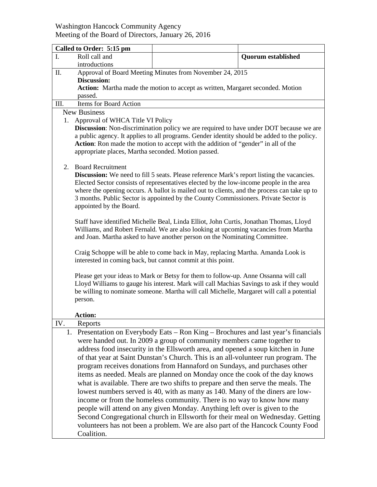## Washington Hancock Community Agency Meeting of the Board of Directors, January 26, 2016

|                                        | Called to Order: 5:15 pm                                                                                                                                          |                                                                                     |                           |  |
|----------------------------------------|-------------------------------------------------------------------------------------------------------------------------------------------------------------------|-------------------------------------------------------------------------------------|---------------------------|--|
| I.                                     | Roll call and                                                                                                                                                     |                                                                                     | <b>Quorum established</b> |  |
|                                        | introductions                                                                                                                                                     |                                                                                     |                           |  |
| Π.                                     | Approval of Board Meeting Minutes from November 24, 2015                                                                                                          |                                                                                     |                           |  |
|                                        | <b>Discussion:</b>                                                                                                                                                |                                                                                     |                           |  |
|                                        | Action: Martha made the motion to accept as written, Margaret seconded. Motion<br>passed.                                                                         |                                                                                     |                           |  |
| III.                                   | Items for Board Action                                                                                                                                            |                                                                                     |                           |  |
|                                        | <b>New Business</b>                                                                                                                                               |                                                                                     |                           |  |
| Approval of WHCA Title VI Policy<br>1. |                                                                                                                                                                   |                                                                                     |                           |  |
|                                        | <b>Discussion:</b> Non-discrimination policy we are required to have under DOT because we are                                                                     |                                                                                     |                           |  |
|                                        | a public agency. It applies to all programs. Gender identity should be added to the policy.                                                                       |                                                                                     |                           |  |
|                                        | Action: Ron made the motion to accept with the addition of "gender" in all of the                                                                                 |                                                                                     |                           |  |
|                                        | appropriate places, Martha seconded. Motion passed.                                                                                                               |                                                                                     |                           |  |
| <b>Board Recruitment</b><br>2.         |                                                                                                                                                                   |                                                                                     |                           |  |
|                                        | <b>Discussion:</b> We need to fill 5 seats. Please reference Mark's report listing the vacancies.                                                                 |                                                                                     |                           |  |
|                                        | Elected Sector consists of representatives elected by the low-income people in the area                                                                           |                                                                                     |                           |  |
|                                        | where the opening occurs. A ballot is mailed out to clients, and the process can take up to                                                                       |                                                                                     |                           |  |
|                                        | 3 months. Public Sector is appointed by the County Commissioners. Private Sector is                                                                               |                                                                                     |                           |  |
|                                        | appointed by the Board.                                                                                                                                           |                                                                                     |                           |  |
|                                        |                                                                                                                                                                   |                                                                                     |                           |  |
|                                        | Staff have identified Michelle Beal, Linda Elliot, John Curtis, Jonathan Thomas, Lloyd                                                                            |                                                                                     |                           |  |
|                                        | Williams, and Robert Fernald. We are also looking at upcoming vacancies from Martha<br>and Joan. Martha asked to have another person on the Nominating Committee. |                                                                                     |                           |  |
|                                        |                                                                                                                                                                   |                                                                                     |                           |  |
|                                        | Craig Schoppe will be able to come back in May, replacing Martha. Amanda Look is                                                                                  |                                                                                     |                           |  |
|                                        | interested in coming back, but cannot commit at this point.                                                                                                       |                                                                                     |                           |  |
|                                        |                                                                                                                                                                   |                                                                                     |                           |  |
|                                        | Please get your ideas to Mark or Betsy for them to follow-up. Anne Ossanna will call                                                                              |                                                                                     |                           |  |
|                                        | Lloyd Williams to gauge his interest. Mark will call Machias Savings to ask if they would                                                                         |                                                                                     |                           |  |
|                                        | be willing to nominate someone. Martha will call Michelle, Margaret will call a potential<br>person.                                                              |                                                                                     |                           |  |
|                                        |                                                                                                                                                                   |                                                                                     |                           |  |
|                                        | <b>Action:</b>                                                                                                                                                    |                                                                                     |                           |  |
| IV.                                    | Reports                                                                                                                                                           |                                                                                     |                           |  |
|                                        |                                                                                                                                                                   | 1. Presentation on Everybody Eats - Ron King - Brochures and last year's financials |                           |  |
|                                        | were handed out. In 2009 a group of community members came together to                                                                                            |                                                                                     |                           |  |
|                                        | address food insecurity in the Ellsworth area, and opened a soup kitchen in June                                                                                  |                                                                                     |                           |  |
|                                        | of that year at Saint Dunstan's Church. This is an all-volunteer run program. The                                                                                 |                                                                                     |                           |  |
|                                        | program receives donations from Hannaford on Sundays, and purchases other                                                                                         |                                                                                     |                           |  |
|                                        | items as needed. Meals are planned on Monday once the cook of the day knows                                                                                       |                                                                                     |                           |  |
|                                        | what is available. There are two shifts to prepare and then serve the meals. The                                                                                  |                                                                                     |                           |  |
|                                        | lowest numbers served is 40, with as many as 140. Many of the diners are low-<br>income or from the homeless community. There is no way to know how many          |                                                                                     |                           |  |
|                                        |                                                                                                                                                                   |                                                                                     |                           |  |
|                                        | people will attend on any given Monday. Anything left over is given to the<br>Second Congregational church in Ellsworth for their meal on Wednesday. Getting      |                                                                                     |                           |  |
|                                        |                                                                                                                                                                   |                                                                                     |                           |  |
|                                        | volunteers has not been a problem. We are also part of the Hancock County Food                                                                                    |                                                                                     |                           |  |
|                                        | Coalition.                                                                                                                                                        |                                                                                     |                           |  |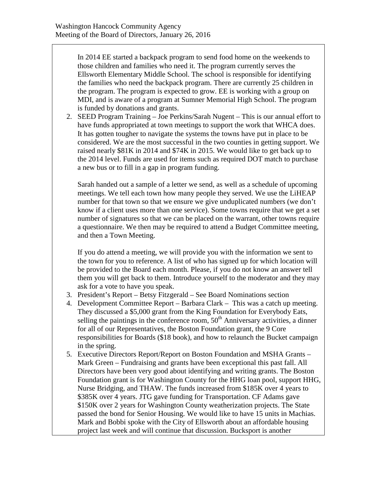In 2014 EE started a backpack program to send food home on the weekends to those children and families who need it. The program currently serves the Ellsworth Elementary Middle School. The school is responsible for identifying the families who need the backpack program. There are currently 25 children in the program. The program is expected to grow. EE is working with a group on MDI, and is aware of a program at Sumner Memorial High School. The program is funded by donations and grants.

2. SEED Program Training – Joe Perkins/Sarah Nugent – This is our annual effort to have funds appropriated at town meetings to support the work that WHCA does. It has gotten tougher to navigate the systems the towns have put in place to be considered. We are the most successful in the two counties in getting support. We raised nearly \$81K in 2014 and \$74K in 2015. We would like to get back up to the 2014 level. Funds are used for items such as required DOT match to purchase a new bus or to fill in a gap in program funding.

Sarah handed out a sample of a letter we send, as well as a schedule of upcoming meetings. We tell each town how many people they served. We use the LiHEAP number for that town so that we ensure we give unduplicated numbers (we don't know if a client uses more than one service). Some towns require that we get a set number of signatures so that we can be placed on the warrant, other towns require a questionnaire. We then may be required to attend a Budget Committee meeting, and then a Town Meeting.

If you do attend a meeting, we will provide you with the information we sent to the town for you to reference. A list of who has signed up for which location will be provided to the Board each month. Please, if you do not know an answer tell them you will get back to them. Introduce yourself to the moderator and they may ask for a vote to have you speak.

- 3. President's Report Betsy Fitzgerald See Board Nominations section
- 4. Development Committee Report Barbara Clark This was a catch up meeting. They discussed a \$5,000 grant from the King Foundation for Everybody Eats, selling the paintings in the conference room,  $50<sup>th</sup>$  Anniversary activities, a dinner for all of our Representatives, the Boston Foundation grant, the 9 Core responsibilities for Boards (\$18 book), and how to relaunch the Bucket campaign in the spring.
- 5. Executive Directors Report/Report on Boston Foundation and MSHA Grants Mark Green – Fundraising and grants have been exceptional this past fall. All Directors have been very good about identifying and writing grants. The Boston Foundation grant is for Washington County for the HHG loan pool, support HHG, Nurse Bridging, and THAW. The funds increased from \$185K over 4 years to \$385K over 4 years. JTG gave funding for Transportation. CF Adams gave \$150K over 2 years for Washington County weatherization projects. The State passed the bond for Senior Housing. We would like to have 15 units in Machias. Mark and Bobbi spoke with the City of Ellsworth about an affordable housing project last week and will continue that discussion. Bucksport is another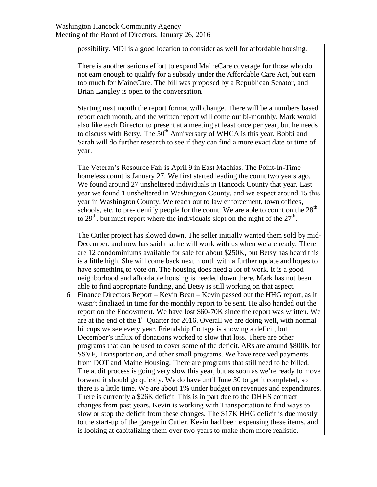possibility. MDI is a good location to consider as well for affordable housing.

There is another serious effort to expand MaineCare coverage for those who do not earn enough to qualify for a subsidy under the Affordable Care Act, but earn too much for MaineCare. The bill was proposed by a Republican Senator, and Brian Langley is open to the conversation.

Starting next month the report format will change. There will be a numbers based report each month, and the written report will come out bi-monthly. Mark would also like each Director to present at a meeting at least once per year, but he needs to discuss with Betsy. The  $50<sup>th</sup>$  Anniversary of WHCA is this year. Bobbi and Sarah will do further research to see if they can find a more exact date or time of year.

The Veteran's Resource Fair is April 9 in East Machias. The Point-In-Time homeless count is January 27. We first started leading the count two years ago. We found around 27 unsheltered individuals in Hancock County that year. Last year we found 1 unsheltered in Washington County, and we expect around 15 this year in Washington County. We reach out to law enforcement, town offices, schools, etc. to pre-identify people for the count. We are able to count on the 28<sup>th</sup> to 29<sup>th</sup>, but must report where the individuals slept on the night of the  $27<sup>th</sup>$ .

The Cutler project has slowed down. The seller initially wanted them sold by mid-December, and now has said that he will work with us when we are ready. There are 12 condominiums available for sale for about \$250K, but Betsy has heard this is a little high. She will come back next month with a further update and hopes to have something to vote on. The housing does need a lot of work. It is a good neighborhood and affordable housing is needed down there. Mark has not been able to find appropriate funding, and Betsy is still working on that aspect.

6. Finance Directors Report – Kevin Bean – Kevin passed out the HHG report, as it wasn't finalized in time for the monthly report to be sent. He also handed out the report on the Endowment. We have lost \$60-70K since the report was written. We are at the end of the  $1<sup>st</sup>$  Quarter for 2016. Overall we are doing well, with normal hiccups we see every year. Friendship Cottage is showing a deficit, but December's influx of donations worked to slow that loss. There are other programs that can be used to cover some of the deficit. ARs are around \$800K for SSVF, Transportation, and other small programs. We have received payments from DOT and Maine Housing. There are programs that still need to be billed. The audit process is going very slow this year, but as soon as we're ready to move forward it should go quickly. We do have until June 30 to get it completed, so there is a little time. We are about 1% under budget on revenues and expenditures. There is currently a \$26K deficit. This is in part due to the DHHS contract changes from past years. Kevin is working with Transportation to find ways to slow or stop the deficit from these changes. The \$17K HHG deficit is due mostly to the start-up of the garage in Cutler. Kevin had been expensing these items, and is looking at capitalizing them over two years to make them more realistic.